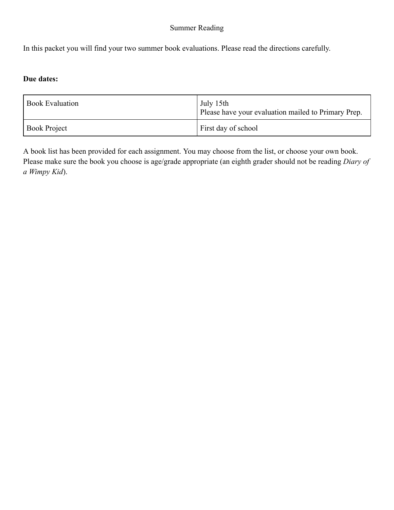#### Summer Reading

In this packet you will find your two summer book evaluations. Please read the directions carefully.

#### **Due dates:**

| <b>Book Evaluation</b> | July 15th<br>Please have your evaluation mailed to Primary Prep. |
|------------------------|------------------------------------------------------------------|
| <b>Book Project</b>    | First day of school                                              |

A book list has been provided for each assignment. You may choose from the list, or choose your own book. Please make sure the book you choose is age/grade appropriate (an eighth grader should not be reading *Diary of a Wimpy Kid*).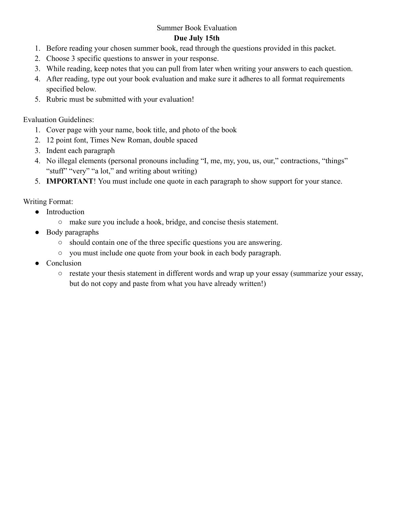#### Summer Book Evaluation

#### **Due July 15th**

- 1. Before reading your chosen summer book, read through the questions provided in this packet.
- 2. Choose 3 specific questions to answer in your response.
- 3. While reading, keep notes that you can pull from later when writing your answers to each question.
- 4. After reading, type out your book evaluation and make sure it adheres to all format requirements specified below.
- 5. Rubric must be submitted with your evaluation!

Evaluation Guidelines:

- 1. Cover page with your name, book title, and photo of the book
- 2. 12 point font, Times New Roman, double spaced
- 3. Indent each paragraph
- 4. No illegal elements (personal pronouns including "I, me, my, you, us, our," contractions, "things" "stuff" "very" "a lot," and writing about writing)
- 5. **IMPORTANT**! You must include one quote in each paragraph to show support for your stance.

Writing Format:

- Introduction
	- make sure you include a hook, bridge, and concise thesis statement.
- Body paragraphs
	- should contain one of the three specific questions you are answering.
	- you must include one quote from your book in each body paragraph.
- Conclusion
	- restate your thesis statement in different words and wrap up your essay (summarize your essay, but do not copy and paste from what you have already written!)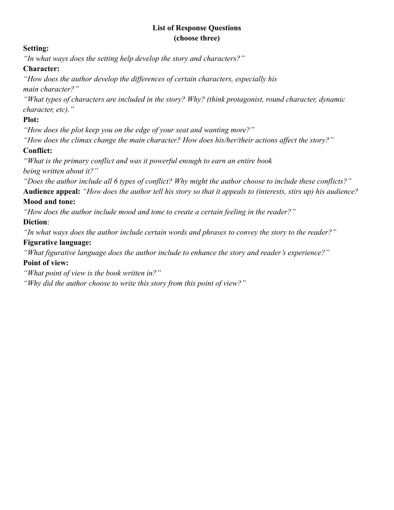#### **List of Response Questions (choose three)**

#### **Setting:**

*"In what ways does the setting help develop the story and characters?"*

#### **Character:**

*"How does the author develop the differences of certain characters, especially his main character?"*

*"What types of characters are included in the story? Why? (think protagonist, round character, dynamic character, etc)."*

# **Plot:**

*"How does the plot keep you on the edge of your seat and wanting more?"*

*"How does the climax change the main character? How does his/her/their actions affect the story?"*

# **Conflict:**

*"What is the primary conflict and was it powerful enough to earn an entire book being written about it?"*

*"Does the author include all 6 types of conflict? Why might the author choose to include these conflicts?"* **Audience appeal:** *"How does the author tell his story so that it appeals to (interests, stirs up) his audience?*

#### **Mood and tone:**

*"How does the author include mood and tone to create a certain feeling in the reader?"*

## **Diction**:

*"In what ways does the author include certain words and phrases to convey the story to the reader?"*

## **Figurative language:**

*"What figurative language does the author include to enhance the story and reader's experience?"*

# **Point of view:**

*"What point of view is the book written in?"*

*"Why did the author choose to write this story from this point of view?"*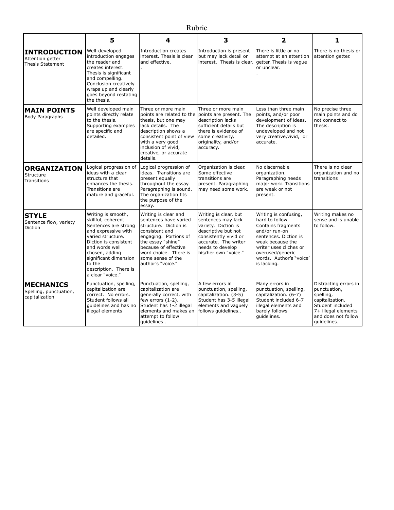| ſ |
|---|
|   |

|                                                                    | 5                                                                                                                                                                                                                                                          | 4                                                                                                                                                                                                                                 | 3                                                                                                                                                                                      | $\overline{\mathbf{2}}$                                                                                                                                                                                              | 1                                                                                                                                                      |
|--------------------------------------------------------------------|------------------------------------------------------------------------------------------------------------------------------------------------------------------------------------------------------------------------------------------------------------|-----------------------------------------------------------------------------------------------------------------------------------------------------------------------------------------------------------------------------------|----------------------------------------------------------------------------------------------------------------------------------------------------------------------------------------|----------------------------------------------------------------------------------------------------------------------------------------------------------------------------------------------------------------------|--------------------------------------------------------------------------------------------------------------------------------------------------------|
| <b>INTRODUCTION</b><br>Attention getter<br><b>Thesis Statement</b> | Well-developed<br>introduction engages<br>the reader and<br>creates interest.<br>Thesis is significant<br>and compelling.<br>Conclusion creatively<br>wraps up and clearly<br>goes beyond restating<br>the thesis.                                         | Introduction creates<br>interest. Thesis is clear<br>and effective.                                                                                                                                                               | Introduction is present<br>but may lack detail or<br>interest. Thesis is clear.                                                                                                        | There is little or no<br>attempt at an attention<br>getter. Thesis is vague<br>or unclear.                                                                                                                           | There is no thesis or<br>attention getter.                                                                                                             |
| <b>MAIN POINTS</b><br>Body Paragraphs                              | Well developed main<br>points directly relate<br>to the thesis.<br>Supporting examples<br>are specific and<br>detailed.                                                                                                                                    | Three or more main<br>points are related to the<br>thesis, but one may<br>lack details. The<br>description shows a<br>consistent point of view<br>with a very good<br>inclusion of vivid,<br>creative, or accurate<br>details.    | Three or more main<br>points are present. The<br>description lacks<br>sufficient details but<br>there is evidence of<br>some creativity,<br>originality, and/or<br>accuracy.           | Less than three main<br>points, and/or poor<br>development of ideas.<br>The description is<br>undeveloped and not<br>very creative, vivid, or<br>accurate.                                                           | No precise three<br>main points and do<br>not connect to<br>thesis.                                                                                    |
| <b>ORGANIZATION</b><br>Structure<br><b>Transitions</b>             | Logical progression of<br>ideas with a clear<br>structure that<br>enhances the thesis.<br>Transitions are<br>mature and graceful.                                                                                                                          | Logical progression of<br>ideas. Transitions are<br>present equally<br>throughout the essay.<br>Paragraphing is sound.<br>The organization fits<br>the purpose of the<br>essay.                                                   | Organization is clear.<br>Some effective<br>transitions are<br>present. Paragraphing<br>may need some work.                                                                            | No discernable<br>organization.<br>Paragraphing needs<br>major work. Transitions<br>are weak or not<br>present.                                                                                                      | There is no clear<br>organization and no<br>transitions                                                                                                |
| <b>STYLE</b><br>Sentence flow, variety<br>Diction                  | Writing is smooth,<br>skillful, coherent.<br>Sentences are strong<br>and expressive with<br>varied structure.<br>Diction is consistent<br>and words well<br>chosen, adding<br>significant dimension<br>to the<br>description. There is<br>a clear "voice." | Writing is clear and<br>sentences have varied<br>structure. Diction is<br>consistent and<br>engaging. Portions of<br>the essay "shine"<br>because of effective<br>word choice. There is<br>some sense of the<br>author's "voice." | Writing is clear, but<br>sentences may lack<br>variety. Diction is<br>descriptive but not<br>consistently vivid or<br>accurate. The writer<br>needs to develop<br>his/her own "voice." | Writing is confusing,<br>hard to follow.<br>Contains fragments<br>and/or run-on<br>sentences. Diction is<br>weak because the<br>writer uses cliches or<br>overused/generic<br>words. Author's "voice'<br>is lacking. | Writing makes no<br>sense and is unable<br>to follow.                                                                                                  |
| <b>MECHANICS</b><br>Spelling, punctuation,<br>capitalization       | Punctuation, spelling,<br>capitalization are<br>correct. No errors.<br>Student follows all<br>guidelines and has no<br>illegal elements                                                                                                                    | Punctuation, spelling,<br>capitalization are<br>generally correct, with<br>few errors $(1-2)$ .<br>Student has 1-2 illegal<br>elements and makes an<br>attempt to follow<br>quidelines.                                           | A few errors in<br>punctuation, spelling,<br>capitalization. (3-5)<br>Student has 3-5 illegal<br>elements and vaguely<br>follows guidelines                                            | Many errors in<br>punctuation, spelling,<br>capitalization. (6-7)<br>Student included 6-7<br>illegal elements and<br>barely follows<br>quidelines.                                                                   | Distracting errors in<br>punctuation,<br>spelling,<br>capitalization.<br>Student included<br>7+ illegal elements<br>and does not follow<br>quidelines. |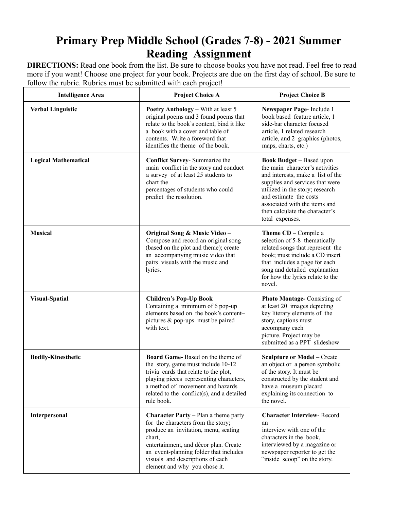# **Primary Prep Middle School (Grades 7-8) - 2021 Summer Reading Assignment**

**DIRECTIONS:** Read one book from the list. Be sure to choose books you have not read. Feel free to read more if you want! Choose one project for your book. Projects are due on the first day of school. Be sure to follow the rubric. Rubrics must be submitted with each project!

| <b>Intelligence Area</b>    | <b>Project Choice A</b>                                                                                                                                                                                                                                                                       | <b>Project Choice B</b>                                                                                                                                                                                                                                                                       |
|-----------------------------|-----------------------------------------------------------------------------------------------------------------------------------------------------------------------------------------------------------------------------------------------------------------------------------------------|-----------------------------------------------------------------------------------------------------------------------------------------------------------------------------------------------------------------------------------------------------------------------------------------------|
| <b>Verbal Linguistic</b>    | <b>Poetry Anthology</b> – With at least 5<br>original poems and 3 found poems that<br>relate to the book's content, bind it like<br>a book with a cover and table of<br>contents. Write a foreword that<br>identifies the theme of the book.                                                  | Newspaper Page- Include 1<br>book based feature article, 1<br>side-bar character focused<br>article, 1 related research<br>article, and 2 graphics (photos,<br>maps, charts, etc.)                                                                                                            |
| <b>Logical Mathematical</b> | Conflict Survey- Summarize the<br>main conflict in the story and conduct<br>a survey of at least 25 students to<br>chart the<br>percentages of students who could<br>predict the resolution.                                                                                                  | <b>Book Budget</b> – Based upon<br>the main character's activities<br>and interests, make a list of the<br>supplies and services that were<br>utilized in the story; research<br>and estimate the costs<br>associated with the items and<br>then calculate the character's<br>total expenses. |
| <b>Musical</b>              | Original Song & Music Video -<br>Compose and record an original song<br>(based on the plot and theme); create<br>an accompanying music video that<br>pairs visuals with the music and<br>lyrics.                                                                                              | Theme CD - Compile a<br>selection of 5-8 thematically<br>related songs that represent the<br>book; must include a CD insert<br>that includes a page for each<br>song and detailed explanation<br>for how the lyrics relate to the<br>novel.                                                   |
| <b>Visual-Spatial</b>       | Children's Pop-Up Book -<br>Containing a minimum of 6 pop-up<br>elements based on the book's content-<br>pictures & pop-ups must be paired<br>with text.                                                                                                                                      | Photo Montage-Consisting of<br>at least 20 images depicting<br>key literary elements of the<br>story, captions must<br>accompany each<br>picture. Project may be<br>submitted as a PPT slideshow                                                                                              |
| <b>Bodily-Kinesthetic</b>   | Board Game-Based on the theme of<br>the story, game must include 10-12<br>trivia cards that relate to the plot,<br>playing pieces representing characters,<br>a method of movement and hazards<br>related to the conflict(s), and a detailed<br>rule book.                                    | <b>Sculpture or Model - Create</b><br>an object or a person symbolic<br>of the story. It must be<br>constructed by the student and<br>have a museum placard<br>explaining its connection to<br>the novel.                                                                                     |
| Interpersonal               | <b>Character Party</b> $-$ Plan a theme party<br>for the characters from the story;<br>produce an invitation, menu, seating<br>chart,<br>entertainment, and décor plan. Create<br>an event-planning folder that includes<br>visuals and descriptions of each<br>element and why you chose it. | <b>Character Interview-Record</b><br>an<br>interview with one of the<br>characters in the book,<br>interviewed by a magazine or<br>newspaper reporter to get the<br>"inside scoop" on the story.                                                                                              |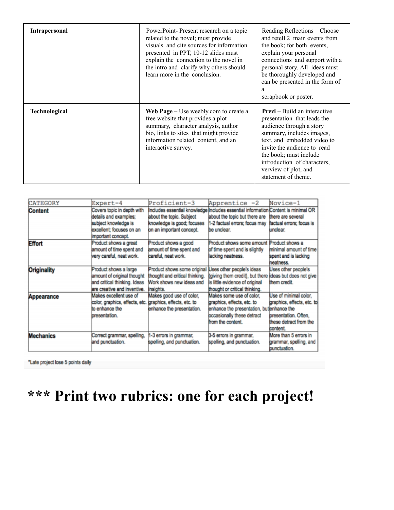| <b>Intrapersonal</b> | PowerPoint-Present research on a topic<br>related to the novel; must provide<br>visuals and cite sources for information<br>presented in PPT, 10-12 slides must<br>explain the connection to the novel in<br>the intro and clarify why others should<br>learn more in the conclusion. | Reading Reflections – Choose<br>and retell 2 main events from<br>the book; for both events,<br>explain your personal<br>connections and support with a<br>personal story. All ideas must<br>be thoroughly developed and<br>can be presented in the form of<br>a<br>scrapbook or poster.           |
|----------------------|---------------------------------------------------------------------------------------------------------------------------------------------------------------------------------------------------------------------------------------------------------------------------------------|---------------------------------------------------------------------------------------------------------------------------------------------------------------------------------------------------------------------------------------------------------------------------------------------------|
| Technological        | Web $Page - Use$ weebly.com to create a<br>free website that provides a plot<br>summary, character analysis, author<br>bio, links to sites that might provide<br>information related content, and an<br>interactive survey.                                                           | <b>Prezi</b> – Build an interactive<br>presentation that leads the<br>audience through a story<br>summary, includes images,<br>text, and embedded video to<br>invite the audience to read<br>the book; must include<br>introduction of characters,<br>verview of plot, and<br>statement of theme. |

| CATEGORY           | Expert-4                                                  | Proficient-3                   | Apprentice -2                                                                     | Novice-1                   |
|--------------------|-----------------------------------------------------------|--------------------------------|-----------------------------------------------------------------------------------|----------------------------|
| Content            | Covers topic in depth with                                |                                | Includes essential knowledge Includes essential information Content is minimal OR |                            |
|                    | details and examples:                                     | about the topic. Subject       | about the topic but there are                                                     | there are several          |
|                    | subject knowledge is                                      | knowledge is good; focuses     | 1-2 factual errors; focus may                                                     | factual errors; focus is   |
|                    | excellent; focuses on an                                  | on an important concept.       | be unclear.                                                                       | undear.                    |
|                    | important concept.                                        |                                |                                                                                   |                            |
| <b>Effort</b>      | Product shows a great                                     | Product shows a good           | Product shows some amount Product shows a                                         |                            |
|                    | amount of time spent and                                  | amount of time spent and       | of time spent and is slightly                                                     | minimal amount of time     |
|                    | very careful, neat work.                                  | careful, neat work.            | lacking neatness.                                                                 | spent and is lacking       |
|                    |                                                           |                                |                                                                                   | heatness.                  |
| <b>Originality</b> | Product shows a large                                     | Product shows some original    | Uses other people's ideas                                                         | Uses other people's        |
|                    | amount of original thought                                | thought and critical thinking. | (giving them credit), but there ideas but does not give                           |                            |
|                    | and critical thinking. Ideas                              | Work shows new ideas and       | is little evidence of original                                                    | them credit.               |
|                    | are creative and inventive.                               | insights.                      | thought or critical thinking.                                                     |                            |
| Appearance         | Makes excellent use of                                    | Makes good use of color,       | Makes some use of color.                                                          | Use of minimal color.      |
|                    | color, graphics, effects, etc. graphics, effects, etc. to |                                | graphics, effects, etc. to                                                        | praphics, effects, etc. to |
|                    | to enhance the                                            | enhance the presentation.      | enhance the presentation, buttenhance the                                         |                            |
|                    | bresentation.                                             |                                | occasionally these detract                                                        | bresentation. Often.       |
|                    |                                                           |                                | from the content.                                                                 | these detract from the     |
|                    |                                                           |                                |                                                                                   | content                    |
| <b>Mechanics</b>   | Correct grammar, spelling,                                | 1-3 errors in grammar,         | 3-5 errors in grammar,                                                            | More than 5 errors in      |
|                    | and punctuation.                                          | spelling, and punctuation.     | spelling, and punctuation.                                                        | grammar, spelling, and     |
|                    |                                                           |                                |                                                                                   | bunctuation.               |

\*Late project lose 5 points daily

# **\*\*\* Print two rubrics: one for each project!**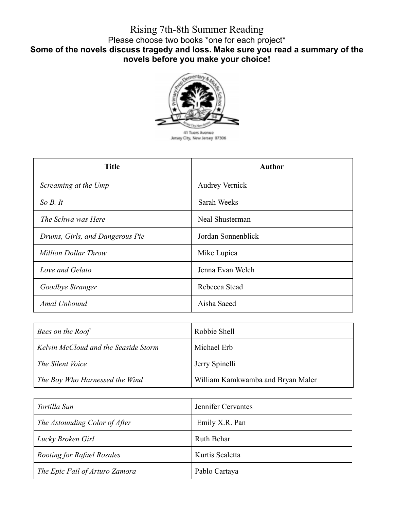# Rising 7th-8th Summer Reading Please choose two books \*one for each project\* **Some of the novels discuss tragedy and loss. Make sure you read a summary of the novels before you make your choice!**



| <b>Title</b>                    | <b>Author</b>         |
|---------------------------------|-----------------------|
| Screaming at the Ump            | <b>Audrey Vernick</b> |
| So B. It                        | Sarah Weeks           |
| The Schwa was Here              | Neal Shusterman       |
| Drums, Girls, and Dangerous Pie | Jordan Sonnenblick    |
| <b>Million Dollar Throw</b>     | Mike Lupica           |
| Love and Gelato                 | Jenna Evan Welch      |
| Goodbye Stranger                | Rebecca Stead         |
| Amal Unbound                    | Aisha Saeed           |

| Bees on the Roof                     | Robbie Shell                      |
|--------------------------------------|-----------------------------------|
| Kelvin McCloud and the Seaside Storm | Michael Erb                       |
| The Silent Voice                     | Jerry Spinelli                    |
| The Boy Who Harnessed the Wind       | William Kamkwamba and Bryan Maler |

| Tortilla Sun                      | Jennifer Cervantes |
|-----------------------------------|--------------------|
| The Astounding Color of After     | Emily X.R. Pan     |
| Lucky Broken Girl                 | <b>Ruth Behar</b>  |
| <b>Rooting for Rafael Rosales</b> | Kurtis Scaletta    |
| The Epic Fail of Arturo Zamora    | Pablo Cartaya      |